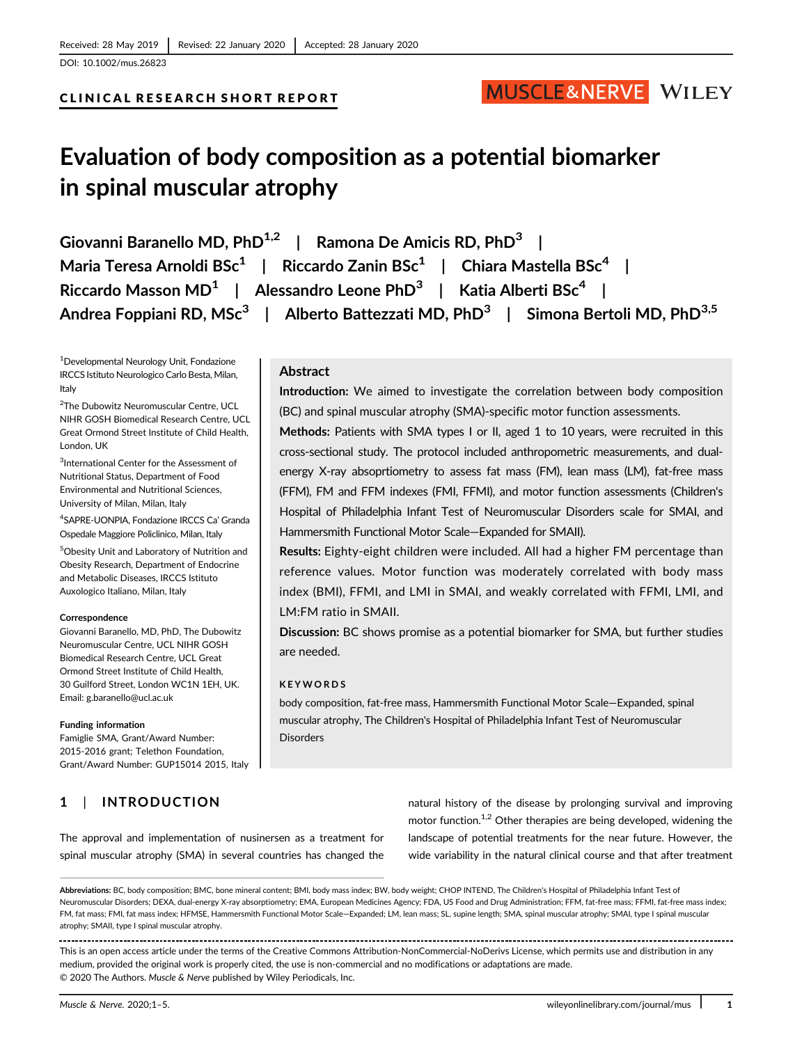# CLINICAL RESEARCH SHORT REPORT

# Evaluation of body composition as a potential biomarker in spinal muscular atrophy

Giovanni Baranello MD, PhD<sup>1,2</sup> | Ramona De Amicis RD, PhD<sup>3</sup> | Maria Teresa Arnoldi BSc<sup>1</sup> | Riccardo Zanin BSc<sup>1</sup> | Chiara Mastella BSc<sup>4</sup> | Riccardo Masson MD<sup>1</sup> | Alessandro Leone PhD<sup>3</sup> | Katia Alberti BSc<sup>4</sup> | Andrea Foppiani RD, MSc<sup>3</sup> | Alberto Battezzati MD, PhD<sup>3</sup> | Simona Bertoli MD, PhD<sup>3,5</sup>

1 Developmental Neurology Unit, Fondazione IRCCS Istituto Neurologico Carlo Besta, Milan, Italy

2 The Dubowitz Neuromuscular Centre, UCL NIHR GOSH Biomedical Research Centre, UCL Great Ormond Street Institute of Child Health, London, UK

<sup>3</sup>International Center for the Assessment of Nutritional Status, Department of Food Environmental and Nutritional Sciences, University of Milan, Milan, Italy

4 SAPRE-UONPIA, Fondazione IRCCS Ca' Granda Ospedale Maggiore Policlinico, Milan, Italy

5 Obesity Unit and Laboratory of Nutrition and Obesity Research, Department of Endocrine and Metabolic Diseases, IRCCS Istituto Auxologico Italiano, Milan, Italy

#### Correspondence

Giovanni Baranello, MD, PhD, The Dubowitz Neuromuscular Centre, UCL NIHR GOSH Biomedical Research Centre, UCL Great Ormond Street Institute of Child Health, 30 Guilford Street, London WC1N 1EH, UK. Email: [g.baranello@ucl.ac.uk](mailto:g.baranello@ucl.ac.uk)

#### Funding information

Famiglie SMA, Grant/Award Number: 2015-2016 grant; Telethon Foundation, Grant/Award Number: GUP15014 2015, Italy

The approval and implementation of nusinersen as a treatment for spinal muscular atrophy (SMA) in several countries has changed the

# 1 | INTRODUCTION

# Abstract

Introduction: We aimed to investigate the correlation between body composition (BC) and spinal muscular atrophy (SMA)-specific motor function assessments.

MUSCLE&NERVE WILEY

Methods: Patients with SMA types I or II, aged 1 to 10 years, were recruited in this cross-sectional study. The protocol included anthropometric measurements, and dualenergy X-ray absoprtiometry to assess fat mass (FM), lean mass (LM), fat-free mass (FFM), FM and FFM indexes (FMI, FFMI), and motor function assessments (Children's Hospital of Philadelphia Infant Test of Neuromuscular Disorders scale for SMAI, and Hammersmith Functional Motor Scale―Expanded for SMAII).

Results: Eighty-eight children were included. All had a higher FM percentage than reference values. Motor function was moderately correlated with body mass index (BMI), FFMI, and LMI in SMAI, and weakly correlated with FFMI, LMI, and LM:FM ratio in SMAII.

Discussion: BC shows promise as a potential biomarker for SMA, but further studies are needed.

#### KEYWORDS

body composition, fat-free mass, Hammersmith Functional Motor Scale―Expanded, spinal muscular atrophy, The Children's Hospital of Philadelphia Infant Test of Neuromuscular **Disorders** 

> natural history of the disease by prolonging survival and improving motor function.<sup>1,2</sup> Other therapies are being developed, widening the landscape of potential treatments for the near future. However, the wide variability in the natural clinical course and that after treatment

This is an open access article under the terms of the [Creative Commons Attribution-NonCommercial-NoDerivs](http://creativecommons.org/licenses/by-nc-nd/4.0/) License, which permits use and distribution in any medium, provided the original work is properly cited, the use is non-commercial and no modifications or adaptations are made. © 2020 The Authors. Muscle & Nerve published by Wiley Periodicals, Inc.

Abbreviations: BC, body composition; BMC, bone mineral content; BMI, body mass index; BW, body weight; CHOP INTEND, The Children's Hospital of Philadelphia Infant Test of Neuromuscular Disorders; DEXA, dual-energy X-ray absorptiometry; EMA, European Medicines Agency; FDA, US Food and Drug Administration; FFM, fat-free mass; FFMI, fat-free mass index; FM, fat mass; FMI, fat mass index; HFMSE, Hammersmith Functional Motor Scale―Expanded; LM, lean mass; SL, supine length; SMA, spinal muscular atrophy; SMAI, type I spinal muscular atrophy; SMAII, type I spinal muscular atrophy.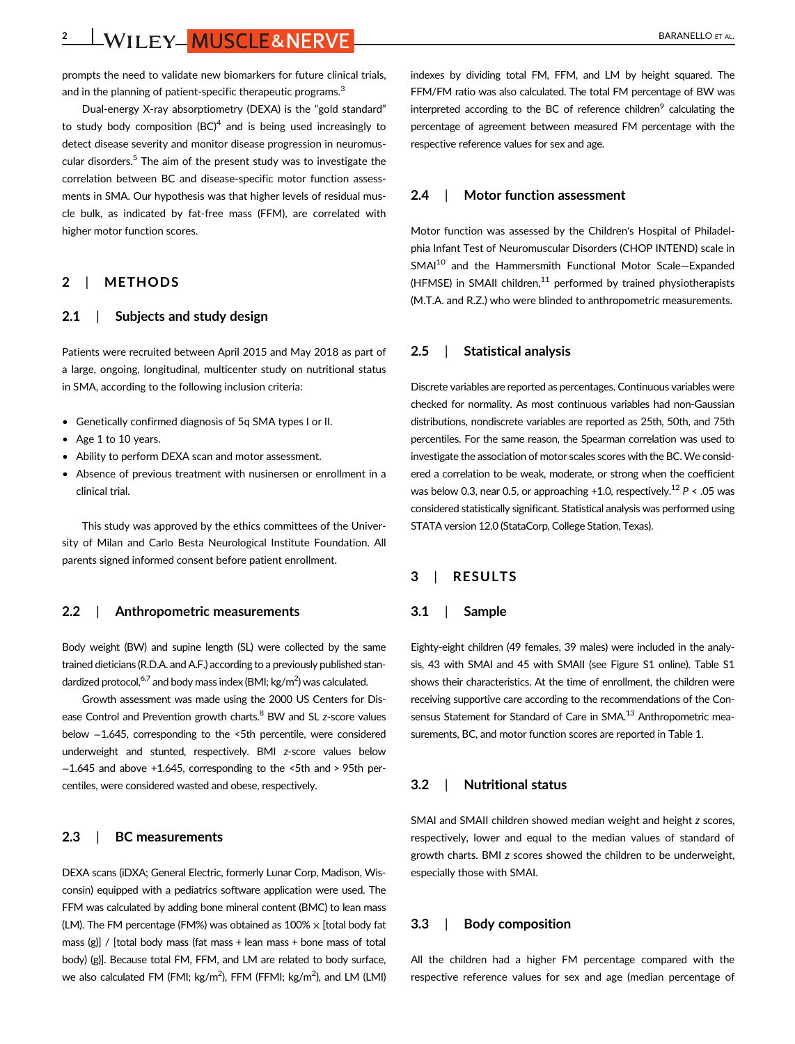2 | WILEY | MUSCLE& NERVE | BARANELLO ET AL.

prompts the need to validate new biomarkers for future clinical trials, and in the planning of patient-specific therapeutic programs.<sup>3</sup>

Dual-energy X-ray absorptiometry (DEXA) is the "gold standard" to study body composition  $(BC)^4$  and is being used increasingly to detect disease severity and monitor disease progression in neuromuscular disorders.<sup>5</sup> The aim of the present study was to investigate the correlation between BC and disease-specific motor function assessments in SMA. Our hypothesis was that higher levels of residual muscle bulk, as indicated by fat-free mass (FFM), are correlated with higher motor function scores.

# 2 | METHODS

#### 2.1 | Subjects and study design

Patients were recruited between April 2015 and May 2018 as part of a large, ongoing, longitudinal, multicenter study on nutritional status in SMA, according to the following inclusion criteria:

- Genetically confirmed diagnosis of 5q SMA types I or II.
- Age 1 to 10 years.
- Ability to perform DEXA scan and motor assessment.
- Absence of previous treatment with nusinersen or enrollment in a clinical trial.

This study was approved by the ethics committees of the University of Milan and Carlo Besta Neurological Institute Foundation. All parents signed informed consent before patient enrollment.

#### 2.2 | Anthropometric measurements

Body weight (BW) and supine length (SL) were collected by the same trained dieticians (R.D.A. and A.F.) according to a previously published standardized protocol,<sup>6,7</sup> and body mass index (BMI; kg/m<sup>2</sup>) was calculated.

Growth assessment was made using the 2000 US Centers for Disease Control and Prevention growth charts.<sup>8</sup> BW and SL z-score values below −1.645, corresponding to the <5th percentile, were considered underweight and stunted, respectively. BMI z-score values below −1.645 and above +1.645, corresponding to the <5th and > 95th percentiles, were considered wasted and obese, respectively.

# 2.3 | BC measurements

DEXA scans (iDXA; General Electric, formerly Lunar Corp, Madison, Wisconsin) equipped with a pediatrics software application were used. The FFM was calculated by adding bone mineral content (BMC) to lean mass (LM). The FM percentage (FM%) was obtained as  $100\% \times$  [total body fat mass  $(g)$ ] / [total body mass (fat mass + lean mass + bone mass of total body) (g)]. Because total FM, FFM, and LM are related to body surface, we also calculated FM (FMI;  $\text{kg/m}^2$ ), FFM (FFMI;  $\text{kg/m}^2$ ), and LM (LMI)

indexes by dividing total FM, FFM, and LM by height squared. The FFM/FM ratio was also calculated. The total FM percentage of BW was interpreted according to the BC of reference children $<sup>9</sup>$  calculating the</sup> percentage of agreement between measured FM percentage with the respective reference values for sex and age.

# 2.4 | Motor function assessment

Motor function was assessed by the Children's Hospital of Philadelphia Infant Test of Neuromuscular Disorders (CHOP INTEND) scale in SMAI<sup>10</sup> and the Hammersmith Functional Motor Scale–Expanded (HFMSE) in SMAII children.<sup>11</sup> performed by trained physiotherapists (M.T.A. and R.Z.) who were blinded to anthropometric measurements.

# 2.5 | Statistical analysis

Discrete variables are reported as percentages. Continuous variables were checked for normality. As most continuous variables had non-Gaussian distributions, nondiscrete variables are reported as 25th, 50th, and 75th percentiles. For the same reason, the Spearman correlation was used to investigate the association of motor scales scores with the BC. We considered a correlation to be weak, moderate, or strong when the coefficient was below 0.3, near 0.5, or approaching +1.0, respectively.<sup>12</sup>  $P < .05$  was considered statistically significant. Statistical analysis was performed using STATA version 12.0 (StataCorp, College Station, Texas).

# 3 | RESULTS

#### 3.1 | Sample

Eighty-eight children (49 females, 39 males) were included in the analysis, 43 with SMAI and 45 with SMAII (see Figure S1 online). Table S1 shows their characteristics. At the time of enrollment, the children were receiving supportive care according to the recommendations of the Consensus Statement for Standard of Care in SMA.<sup>13</sup> Anthropometric measurements, BC, and motor function scores are reported in Table 1.

#### 3.2 | Nutritional status

SMAI and SMAII children showed median weight and height z scores, respectively, lower and equal to the median values of standard of growth charts. BMI z scores showed the children to be underweight, especially those with SMAI.

#### 3.3 | Body composition

All the children had a higher FM percentage compared with the respective reference values for sex and age (median percentage of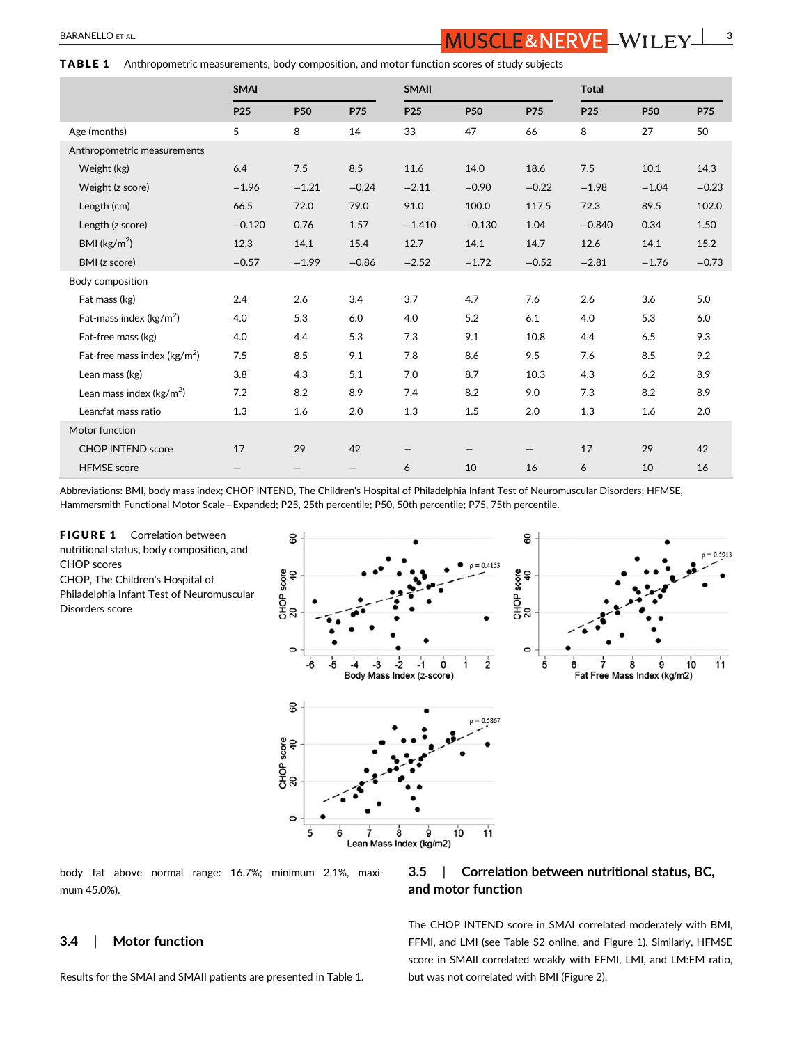#### TABLE 1 Anthropometric measurements, body composition, and motor function scores of study subjects

|                                         | <b>SMAI</b>     |                   |            | <b>SMAII</b>    |            |            | <b>Total</b>    |            |            |
|-----------------------------------------|-----------------|-------------------|------------|-----------------|------------|------------|-----------------|------------|------------|
|                                         | P <sub>25</sub> | <b>P50</b>        | <b>P75</b> | P <sub>25</sub> | <b>P50</b> | <b>P75</b> | P <sub>25</sub> | <b>P50</b> | <b>P75</b> |
| Age (months)                            | 5               | 8                 | 14         | 33              | 47         | 66         | 8               | 27         | 50         |
| Anthropometric measurements             |                 |                   |            |                 |            |            |                 |            |            |
| Weight (kg)                             | 6.4             | 7.5               | 8.5        | 11.6            | 14.0       | 18.6       | 7.5             | 10.1       | 14.3       |
| Weight (z score)                        | $-1.96$         | $-1.21$           | $-0.24$    | $-2.11$         | $-0.90$    | $-0.22$    | $-1.98$         | $-1.04$    | $-0.23$    |
| Length (cm)                             | 66.5            | 72.0              | 79.0       | 91.0            | 100.0      | 117.5      | 72.3            | 89.5       | 102.0      |
| Length (z score)                        | $-0.120$        | 0.76              | 1.57       | $-1.410$        | $-0.130$   | 1.04       | $-0.840$        | 0.34       | 1.50       |
| BMI ( $\text{kg/m}^2$ )                 | 12.3            | 14.1              | 15.4       | 12.7            | 14.1       | 14.7       | 12.6            | 14.1       | 15.2       |
| BMI (z score)                           | $-0.57$         | $-1.99$           | $-0.86$    | $-2.52$         | $-1.72$    | $-0.52$    | $-2.81$         | $-1.76$    | $-0.73$    |
| Body composition                        |                 |                   |            |                 |            |            |                 |            |            |
| Fat mass (kg)                           | 2.4             | 2.6               | 3.4        | 3.7             | 4.7        | 7.6        | 2.6             | 3.6        | 5.0        |
| Fat-mass index ( $\text{kg/m}^2$ )      | 4.0             | 5.3               | 6.0        | 4.0             | 5.2        | 6.1        | 4.0             | 5.3        | 6.0        |
| Fat-free mass (kg)                      | 4.0             | 4.4               | 5.3        | 7.3             | 9.1        | 10.8       | 4.4             | 6.5        | 9.3        |
| Fat-free mass index ( $\text{kg/m}^2$ ) | 7.5             | 8.5               | 9.1        | 7.8             | 8.6        | 9.5        | 7.6             | 8.5        | 9.2        |
| Lean mass (kg)                          | 3.8             | 4.3               | 5.1        | 7.0             | 8.7        | 10.3       | 4.3             | 6.2        | 8.9        |
| Lean mass index ( $\text{kg/m}^2$ )     | 7.2             | 8.2               | 8.9        | 7.4             | 8.2        | 9.0        | 7.3             | 8.2        | 8.9        |
| Lean:fat mass ratio                     | 1.3             | 1.6               | 2.0        | 1.3             | $1.5\,$    | 2.0        | 1.3             | 1.6        | $2.0\,$    |
| Motor function                          |                 |                   |            |                 |            |            |                 |            |            |
| <b>CHOP INTEND score</b>                | 17              | 29                | 42         |                 |            |            | 17              | 29         | 42         |
| <b>HFMSE</b> score                      | —               | $\qquad \qquad -$ | —          | 6               | 10         | 16         | 6               | 10         | 16         |

Abbreviations: BMI, body mass index; CHOP INTEND, The Children's Hospital of Philadelphia Infant Test of Neuromuscular Disorders; HFMSE, Hammersmith Functional Motor Scale―Expanded; P25, 25th percentile; P50, 50th percentile; P75, 75th percentile.

FIGURE 1 Correlation between nutritional status, body composition, and CHOP scores CHOP, The Children's Hospital of Philadelphia Infant Test of Neuromuscular Disorders score



body fat above normal range: 16.7%; minimum 2.1%, maximum 45.0%).

# 3.4 | Motor function

Results for the SMAI and SMAII patients are presented in Table 1.

# 3.5 | Correlation between nutritional status, BC, and motor function

The CHOP INTEND score in SMAI correlated moderately with BMI, FFMI, and LMI (see Table S2 online, and Figure 1). Similarly, HFMSE score in SMAII correlated weakly with FFMI, LMI, and LM:FM ratio, but was not correlated with BMI (Figure 2).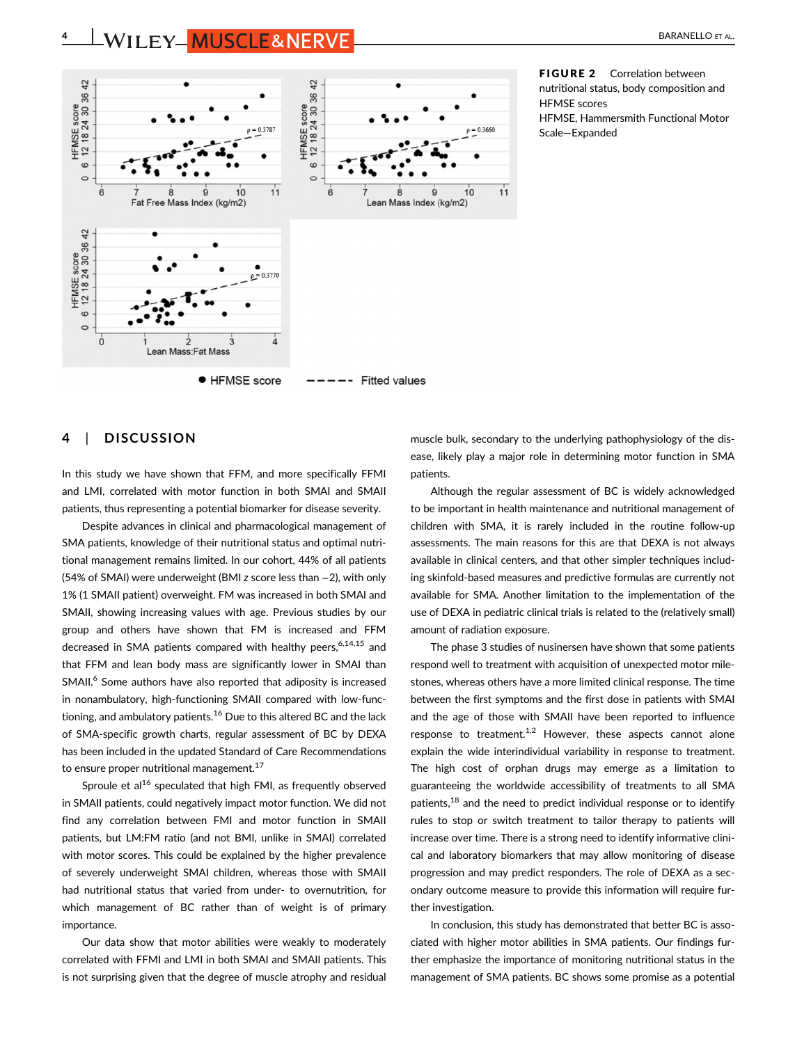4 ENVILEY MUSCLE&NERVE AND AND RESERVE ALL BARANELLO ET AL.



FIGURE 2 Correlation between nutritional status, body composition and HFMSE scores HFMSE, Hammersmith Functional Motor Scale―Expanded

# 4 | DISCUSSION

In this study we have shown that FFM, and more specifically FFMI and LMI, correlated with motor function in both SMAI and SMAII patients, thus representing a potential biomarker for disease severity.

Despite advances in clinical and pharmacological management of SMA patients, knowledge of their nutritional status and optimal nutritional management remains limited. In our cohort, 44% of all patients (54% of SMAI) were underweight (BMI z score less than −2), with only 1% (1 SMAII patient) overweight. FM was increased in both SMAI and SMAII, showing increasing values with age. Previous studies by our group and others have shown that FM is increased and FFM decreased in SMA patients compared with healthy peers,<sup>6,14,15</sup> and that FFM and lean body mass are significantly lower in SMAI than SMAII.<sup>6</sup> Some authors have also reported that adiposity is increased in nonambulatory, high-functioning SMAII compared with low-functioning, and ambulatory patients.<sup>16</sup> Due to this altered BC and the lack of SMA-specific growth charts, regular assessment of BC by DEXA has been included in the updated Standard of Care Recommendations to ensure proper nutritional management.<sup>17</sup>

Sproule et al<sup>16</sup> speculated that high FMI, as frequently observed in SMAII patients, could negatively impact motor function. We did not find any correlation between FMI and motor function in SMAII patients, but LM:FM ratio (and not BMI, unlike in SMAI) correlated with motor scores. This could be explained by the higher prevalence of severely underweight SMAI children, whereas those with SMAII had nutritional status that varied from under- to overnutrition, for which management of BC rather than of weight is of primary importance.

Our data show that motor abilities were weakly to moderately correlated with FFMI and LMI in both SMAI and SMAII patients. This is not surprising given that the degree of muscle atrophy and residual muscle bulk, secondary to the underlying pathophysiology of the disease, likely play a major role in determining motor function in SMA patients.

Although the regular assessment of BC is widely acknowledged to be important in health maintenance and nutritional management of children with SMA, it is rarely included in the routine follow-up assessments. The main reasons for this are that DEXA is not always available in clinical centers, and that other simpler techniques including skinfold-based measures and predictive formulas are currently not available for SMA. Another limitation to the implementation of the use of DEXA in pediatric clinical trials is related to the (relatively small) amount of radiation exposure.

The phase 3 studies of nusinersen have shown that some patients respond well to treatment with acquisition of unexpected motor milestones, whereas others have a more limited clinical response. The time between the first symptoms and the first dose in patients with SMAI and the age of those with SMAII have been reported to influence response to treatment. $1,2$  However, these aspects cannot alone explain the wide interindividual variability in response to treatment. The high cost of orphan drugs may emerge as a limitation to guaranteeing the worldwide accessibility of treatments to all SMA patients, $18$  and the need to predict individual response or to identify rules to stop or switch treatment to tailor therapy to patients will increase over time. There is a strong need to identify informative clinical and laboratory biomarkers that may allow monitoring of disease progression and may predict responders. The role of DEXA as a secondary outcome measure to provide this information will require further investigation.

In conclusion, this study has demonstrated that better BC is associated with higher motor abilities in SMA patients. Our findings further emphasize the importance of monitoring nutritional status in the management of SMA patients. BC shows some promise as a potential